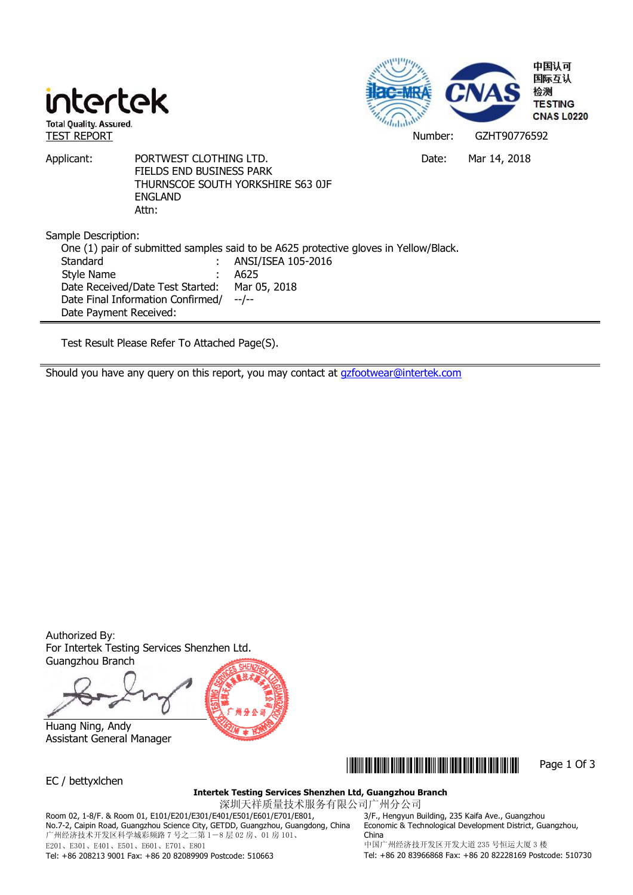



Applicant: PORTWEST CLOTHING LTD. Date: Mar 14, 2018 FIELDS END BUSINESS PARK THURNSCOE SOUTH YORKSHIRE S63 0JF ENGLAND Attn:

Sample Description:

One (1) pair of submitted samples said to be A625 protective gloves in Yellow/Black. Standard : ANSI/ISEA 105-2016 Style Name : A625 Date Received/Date Test Started: Mar 05, 2018 Date Final Information Confirmed/ Date Payment Received: --/--

Test Result Please Refer To Attached Page(S).

Should you have any query on this report, you may contact at gzfootwear@intertek.com

Authorized By: For Intertek Testing Services Shenzhen Ltd. Guangzhou Branch

 Huang Ning, Andy Assistant General Manager



EC / bettyxlchen

### \*GZHT90776592\* Page 1 Of 3

**Intertek Testing Services Shenzhen Ltd, Guangzhou Branch** 

深圳天祥质量技术服务有限公司广州分公司 Room 02, 1-8/F. & Room 01, E101/E201/E301/E401/E501/E601/E701/E801, No.7-2, Caipin Road, Guangzhou Science City, GETDD, Guangzhou, Guangdong, China 广州经济技术开发区科学城彩频路 7 号之二第 1-8 层 02 房、01 房 101、 E201、E301、E401、E501、E601、E701、E801

3/F., Hengyun Building, 235 Kaifa Ave., Guangzhou Economic & Technological Development District, Guangzhou, China 中国广州经济技开发区开发大道 235 号恒运大厦 3 楼

Tel: +86 208213 9001 Fax: +86 20 82089909 Postcode: 510663

Tel: +86 20 83966868 Fax: +86 20 82228169 Postcode: 510730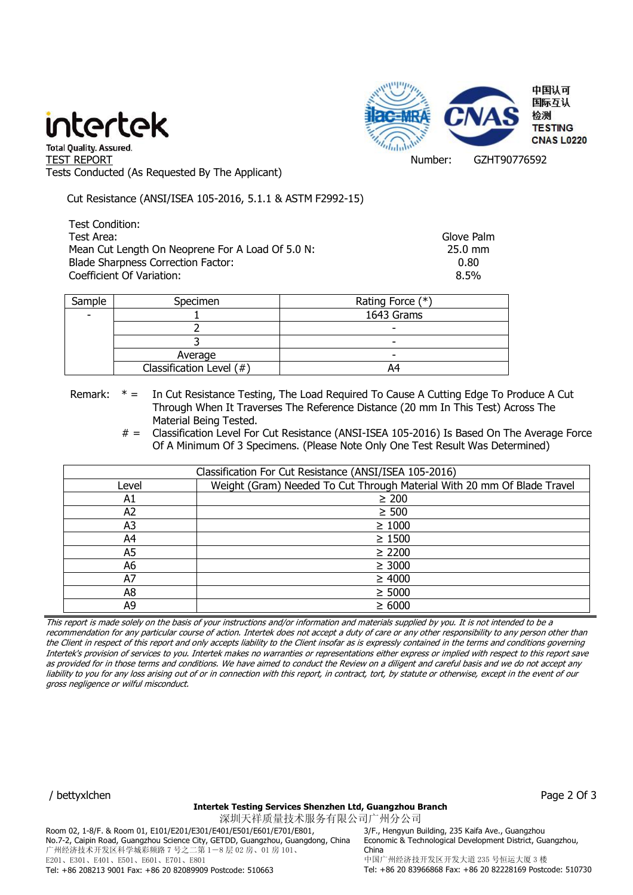# intertek



" Total Quality. Assured.<br>TEST REPORT Number: GZHT90776592 Tests Conducted (As Requested By The Applicant)

Cut Resistance (ANSI/ISEA 105-2016, 5.1.1 & ASTM F2992-15)

Test Condition: Test Area: Glove Palm Mean Cut Length On Neoprene For A Load Of 5.0 N: 25.0 mm Blade Sharpness Correction Factor: 0.80 Coefficient Of Variation: 8.5%

| Sample | Specimen                         | Rating Force (*) |
|--------|----------------------------------|------------------|
|        |                                  | 1643 Grams       |
|        |                                  |                  |
|        |                                  | -                |
|        | Average                          | -                |
|        | Classification Level $($ $#$ $)$ | 4                |

Remark: \* = In Cut Resistance Testing, The Load Required To Cause A Cutting Edge To Produce A Cut Through When It Traverses The Reference Distance (20 mm In This Test) Across The Material Being Tested.

> # = Classification Level For Cut Resistance (ANSI-ISEA 105-2016) Is Based On The Average Force Of A Minimum Of 3 Specimens. (Please Note Only One Test Result Was Determined)

| Classification For Cut Resistance (ANSI/ISEA 105-2016) |                                                                         |  |
|--------------------------------------------------------|-------------------------------------------------------------------------|--|
| Level                                                  | Weight (Gram) Needed To Cut Through Material With 20 mm Of Blade Travel |  |
| A1                                                     | $\geq 200$                                                              |  |
| A2                                                     | $\geq 500$                                                              |  |
| A3                                                     | $\geq 1000$                                                             |  |
| A4                                                     | $\geq 1500$                                                             |  |
| A5                                                     | $\geq 2200$                                                             |  |
| A6                                                     | $\geq 3000$                                                             |  |
| A7                                                     | $\geq 4000$                                                             |  |
| A <sub>8</sub>                                         | $\geq 5000$                                                             |  |
| А9                                                     | $\geq 6000$                                                             |  |

This report is made solely on the basis of your instructions and/or information and materials supplied by you. It is not intended to be a recommendation for any particular course of action. Intertek does not accept a duty of care or any other responsibility to any person other than the Client in respect of this report and only accepts liability to the Client insofar as is expressly contained in the terms and conditions governing Intertek's provision of services to you. Intertek makes no warranties or representations either express or implied with respect to this report save as provided for in those terms and conditions. We have aimed to conduct the Review on a diligent and careful basis and we do not accept any liability to you for any loss arising out of or in connection with this report, in contract, tort, by statute or otherwise, except in the event of our gross negligence or wilful misconduct.

/ bettyxlchen Page 2 Of 3

#### **Intertek Testing Services Shenzhen Ltd, Guangzhou Branch**

深圳天祥质量技术服务有限公司广州分公司 Room 02, 1-8/F. & Room 01, E101/E201/E301/E401/E501/E601/E701/E801, No.7-2, Caipin Road, Guangzhou Science City, GETDD, Guangzhou, Guangdong, China 广州经济技术开发区科学城彩频路 7 号之二第 1-8 层 02 房、01 房 101、 E201、E301、E401、E501、E601、E701、E801 Tel: +86 208213 9001 Fax: +86 20 82089909 Postcode: 510663

3/F., Hengyun Building, 235 Kaifa Ave., Guangzhou Economic & Technological Development District, Guangzhou, China 中国广州经济技开发区开发大道 235 号恒运大厦 3 楼 Tel: +86 20 83966868 Fax: +86 20 82228169 Postcode: 510730